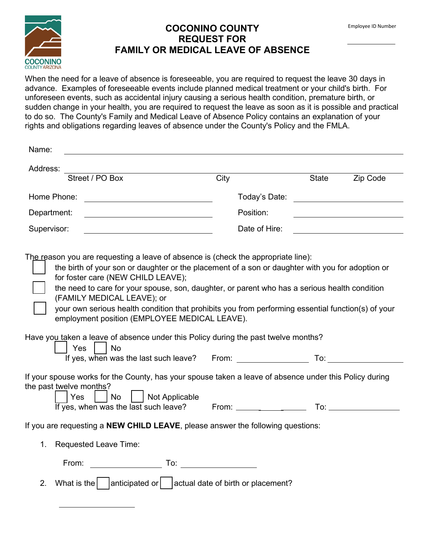## **COCONINO COUNTY REQUEST FOR FAMILY OR MEDICAL LEAVE OF ABSENCE**

When the need for a leave of absence is foreseeable, you are required to request the leave 30 days in advance. Examples of foreseeable events include planned medical treatment or your child's birth. For unforeseen events, such as accidental injury causing a serious health condition, premature birth, or sudden change in your health, you are required to request the leave as soon as it is possible and practical to do so. The County's Family and Medical Leave of Absence Policy contains an explanation of your rights and obligations regarding leaves of absence under the County's Policy and the FMLA.

| Name:                                                                                                                                                                                                                                                                                                                                                                                                                                                                                                                                                                                                                          |                                               |  |                                                                                                                      |  |
|--------------------------------------------------------------------------------------------------------------------------------------------------------------------------------------------------------------------------------------------------------------------------------------------------------------------------------------------------------------------------------------------------------------------------------------------------------------------------------------------------------------------------------------------------------------------------------------------------------------------------------|-----------------------------------------------|--|----------------------------------------------------------------------------------------------------------------------|--|
| Address:                                                                                                                                                                                                                                                                                                                                                                                                                                                                                                                                                                                                                       |                                               |  |                                                                                                                      |  |
| Street / PO Box                                                                                                                                                                                                                                                                                                                                                                                                                                                                                                                                                                                                                | City                                          |  | State <b>Zip Code</b>                                                                                                |  |
| Home Phone:<br><u> 1989 - Johann Barbara, martin a</u>                                                                                                                                                                                                                                                                                                                                                                                                                                                                                                                                                                         | Today's Date: _______________________________ |  |                                                                                                                      |  |
| Department:                                                                                                                                                                                                                                                                                                                                                                                                                                                                                                                                                                                                                    | Position:                                     |  |                                                                                                                      |  |
| Supervisor:                                                                                                                                                                                                                                                                                                                                                                                                                                                                                                                                                                                                                    | Date of Hire:                                 |  | <u> 1980 - Jan Samuel Barbara, politik eta politik eta politik eta politik eta politik eta politik eta politik e</u> |  |
| The reason you are requesting a leave of absence is (check the appropriate line):<br>the birth of your son or daughter or the placement of a son or daughter with you for adoption or<br>for foster care (NEW CHILD LEAVE);<br>the need to care for your spouse, son, daughter, or parent who has a serious health condition<br>(FAMILY MEDICAL LEAVE); or<br>your own serious health condition that prohibits you from performing essential function(s) of your<br>employment position (EMPLOYEE MEDICAL LEAVE).<br>Have you taken a leave of absence under this Policy during the past twelve months?<br>$\vert$ Yes<br>⊟ No |                                               |  |                                                                                                                      |  |
| If your spouse works for the County, has your spouse taken a leave of absence under this Policy during<br>the past twelve months?<br>  Yes<br>    No     Not Applicable                                                                                                                                                                                                                                                                                                                                                                                                                                                        |                                               |  |                                                                                                                      |  |
| If you are requesting a NEW CHILD LEAVE, please answer the following questions:                                                                                                                                                                                                                                                                                                                                                                                                                                                                                                                                                |                                               |  |                                                                                                                      |  |
| <b>Requested Leave Time:</b><br>1.                                                                                                                                                                                                                                                                                                                                                                                                                                                                                                                                                                                             |                                               |  |                                                                                                                      |  |
| From:                                                                                                                                                                                                                                                                                                                                                                                                                                                                                                                                                                                                                          |                                               |  |                                                                                                                      |  |
| What is the $\vert$ anticipated or $\vert$ actual date of birth or placement?<br>2.                                                                                                                                                                                                                                                                                                                                                                                                                                                                                                                                            |                                               |  |                                                                                                                      |  |